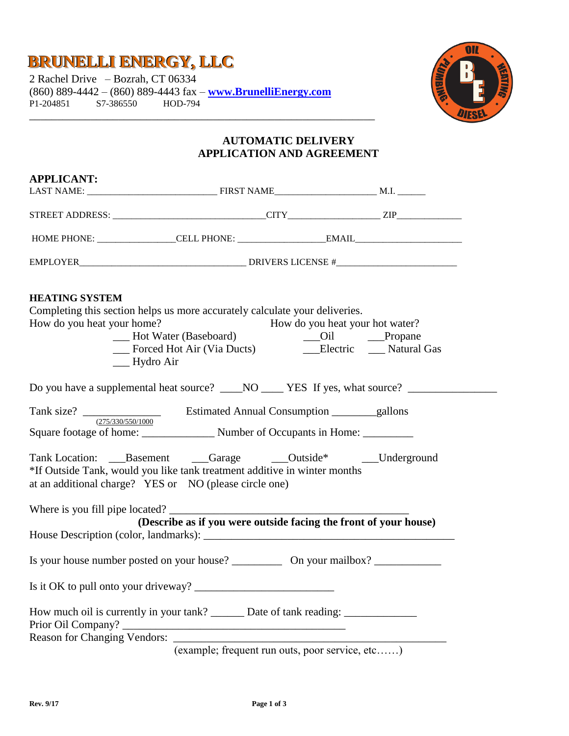## **BRUNELLI ENERGY,, LLC**

2 Rachel Drive – Bozrah, CT 06334 (860) 889-4442 – (860) 889-4443 fax – **[www.BrunelliEnergy.com](http://www.brunellienergy.com/)** P1-204851 S7-386550 \_\_\_\_\_\_\_\_\_\_\_\_\_\_\_\_\_\_\_\_\_\_\_\_\_\_\_\_\_\_\_\_\_\_\_\_\_\_\_\_\_\_\_\_\_\_\_\_\_\_\_\_\_\_\_\_\_\_\_\_\_\_



### **AUTOMATIC DELIVERY APPLICATION AND AGREEMENT**

| <b>APPLICANT:</b>                                   |                                                                                                                                                                                                           |                                 |  |  |
|-----------------------------------------------------|-----------------------------------------------------------------------------------------------------------------------------------------------------------------------------------------------------------|---------------------------------|--|--|
|                                                     |                                                                                                                                                                                                           |                                 |  |  |
|                                                     |                                                                                                                                                                                                           |                                 |  |  |
|                                                     |                                                                                                                                                                                                           |                                 |  |  |
|                                                     |                                                                                                                                                                                                           |                                 |  |  |
| <b>HEATING SYSTEM</b><br>How do you heat your home? | Completing this section helps us more accurately calculate your deliveries.                                                                                                                               | How do you heat your hot water? |  |  |
|                                                     | __ Hydro Air<br>Do you have a supplemental heat source? ____NO ____ YES If yes, what source? _________________________________                                                                            |                                 |  |  |
|                                                     | Square footage of home: Number of Occupants in Home: ________                                                                                                                                             |                                 |  |  |
|                                                     | Tank Location: ___Basement ___Garage _____Outside* ____Underground<br>*If Outside Tank, would you like tank treatment additive in winter months<br>at an additional charge? YES or NO (please circle one) |                                 |  |  |
|                                                     | (Describe as if you were outside facing the front of your house)                                                                                                                                          |                                 |  |  |
|                                                     |                                                                                                                                                                                                           |                                 |  |  |
|                                                     |                                                                                                                                                                                                           |                                 |  |  |
|                                                     | How much oil is currently in your tank? ________ Date of tank reading: __________                                                                                                                         |                                 |  |  |
|                                                     |                                                                                                                                                                                                           |                                 |  |  |
|                                                     | (example; frequent run outs, poor service, etc)                                                                                                                                                           |                                 |  |  |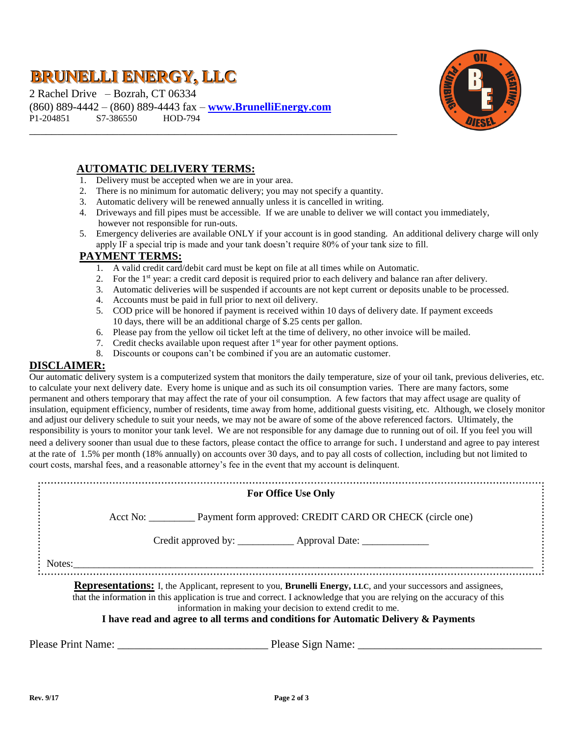# **BRUNELLI ENERGY,, LLC**

2 Rachel Drive – Bozrah, CT 06334 (860) 889-4442 – (860) 889-4443 fax – **[www.BrunelliEnergy.com](http://www.brunellienergy.com/)** P1-204851 S7-386550 HOD-794



### **AUTOMATIC DELIVERY TERMS:**

- 1. Delivery must be accepted when we are in your area.
- 2. There is no minimum for automatic delivery; you may not specify a quantity.

\_\_\_\_\_\_\_\_\_\_\_\_\_\_\_\_\_\_\_\_\_\_\_\_\_\_\_\_\_\_\_\_\_\_\_\_\_\_\_\_\_\_\_\_\_\_\_\_\_\_\_\_\_\_\_\_\_\_\_\_\_\_\_\_\_\_

- 3. Automatic delivery will be renewed annually unless it is cancelled in writing.
- 4. Driveways and fill pipes must be accessible. If we are unable to deliver we will contact you immediately, however not responsible for run-outs.
- 5. Emergency deliveries are available ONLY if your account is in good standing. An additional delivery charge will only apply IF a special trip is made and your tank doesn't require 80% of your tank size to fill.

#### **PAYMENT TERMS:**

- 1. A valid credit card/debit card must be kept on file at all times while on Automatic.
- 2. For the 1<sup>st</sup> year: a credit card deposit is required prior to each delivery and balance ran after delivery.
- 3. Automatic deliveries will be suspended if accounts are not kept current or deposits unable to be processed.
- 4. Accounts must be paid in full prior to next oil delivery.
- 5. COD price will be honored if payment is received within 10 days of delivery date. If payment exceeds 10 days, there will be an additional charge of \$.25 cents per gallon.
- 6. Please pay from the yellow oil ticket left at the time of delivery, no other invoice will be mailed.
- 7. Credit checks available upon request after  $1<sup>st</sup>$  year for other payment options.
- 8. Discounts or coupons can't be combined if you are an automatic customer.

#### **DISCLAIMER:**

Our automatic delivery system is a computerized system that monitors the daily temperature, size of your oil tank, previous deliveries, etc. to calculate your next delivery date. Every home is unique and as such its oil consumption varies. There are many factors, some permanent and others temporary that may affect the rate of your oil consumption. A few factors that may affect usage are quality of insulation, equipment efficiency, number of residents, time away from home, additional guests visiting, etc. Although, we closely monitor and adjust our delivery schedule to suit your needs, we may not be aware of some of the above referenced factors. Ultimately, the responsibility is yours to monitor your tank level. We are not responsible for any damage due to running out of oil. If you feel you will need a delivery sooner than usual due to these factors, please contact the office to arrange for such. I understand and agree to pay interest at the rate of 1.5% per month (18% annually) on accounts over 30 days, and to pay all costs of collection, including but not limited to court costs, marshal fees, and a reasonable attorney's fee in the event that my account is delinquent.

|        | <b>For Office Use Only</b>                                                                                                                                                              |
|--------|-----------------------------------------------------------------------------------------------------------------------------------------------------------------------------------------|
|        | Acct No: Payment form approved: CREDIT CARD OR CHECK (circle one)                                                                                                                       |
|        | Credit approved by: ______________ Approval Date: _______________________________                                                                                                       |
| Notes: |                                                                                                                                                                                         |
|        | <b>Representations:</b> I, the Applicant, represent to you, <b>Brunelli Energy</b> , LLC, and your successors and assignees,                                                            |
|        | that the information in this application is true and correct. I acknowledge that you are relying on the accuracy of this<br>information in making your decision to extend credit to me. |
|        |                                                                                                                                                                                         |

Please Print Name: \_\_\_\_\_\_\_\_\_\_\_\_\_\_\_\_\_\_\_\_\_\_\_\_\_\_\_ Please Sign Name: \_\_\_\_\_\_\_\_\_\_\_\_\_\_\_\_\_\_\_\_\_\_\_\_\_\_\_\_\_\_\_\_\_